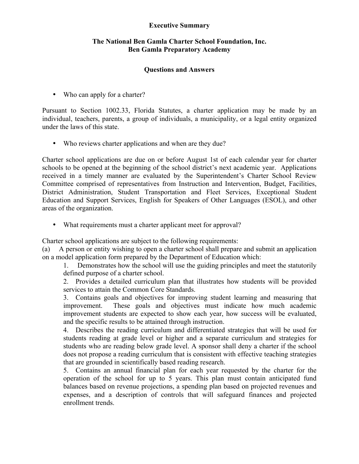## **Executive Summary**

## **The National Ben Gamla Charter School Foundation, Inc. Ben Gamla Preparatory Academy**

## **Questions and Answers**

• Who can apply for a charter?

Pursuant to Section 1002.33, Florida Statutes, a charter application may be made by an individual, teachers, parents, a group of individuals, a municipality, or a legal entity organized under the laws of this state.

• Who reviews charter applications and when are they due?

Charter school applications are due on or before August 1st of each calendar year for charter schools to be opened at the beginning of the school district's next academic year. Applications received in a timely manner are evaluated by the Superintendent's Charter School Review Committee comprised of representatives from Instruction and Intervention, Budget, Facilities, District Administration, Student Transportation and Fleet Services, Exceptional Student Education and Support Services, English for Speakers of Other Languages (ESOL), and other areas of the organization.

• What requirements must a charter applicant meet for approval?

Charter school applications are subject to the following requirements:

(a) A person or entity wishing to open a charter school shall prepare and submit an application on a model application form prepared by the Department of Education which:

1. Demonstrates how the school will use the guiding principles and meet the statutorily defined purpose of a charter school.

2. Provides a detailed curriculum plan that illustrates how students will be provided services to attain the Common Core Standards.

3. Contains goals and objectives for improving student learning and measuring that improvement. These goals and objectives must indicate how much academic improvement students are expected to show each year, how success will be evaluated, and the specific results to be attained through instruction.

4. Describes the reading curriculum and differentiated strategies that will be used for students reading at grade level or higher and a separate curriculum and strategies for students who are reading below grade level. A sponsor shall deny a charter if the school does not propose a reading curriculum that is consistent with effective teaching strategies that are grounded in scientifically based reading research.

5. Contains an annual financial plan for each year requested by the charter for the operation of the school for up to 5 years. This plan must contain anticipated fund balances based on revenue projections, a spending plan based on projected revenues and expenses, and a description of controls that will safeguard finances and projected enrollment trends.